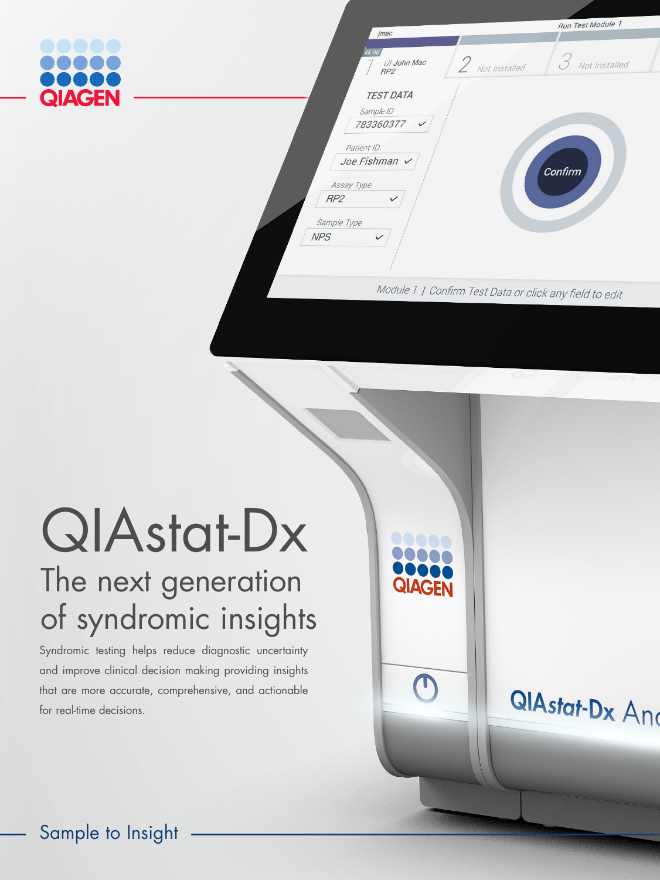

**ЛАС** 

**QIAstat-Dx And** 

# QIAstat-Dx The next generation of syndromic insights

Syndromic testing helps reduce diagnostic uncertainty and improve clinical decision making providing insights that are more accurate, comprehensive, and actionable for real-time decisions.

Sample to Insight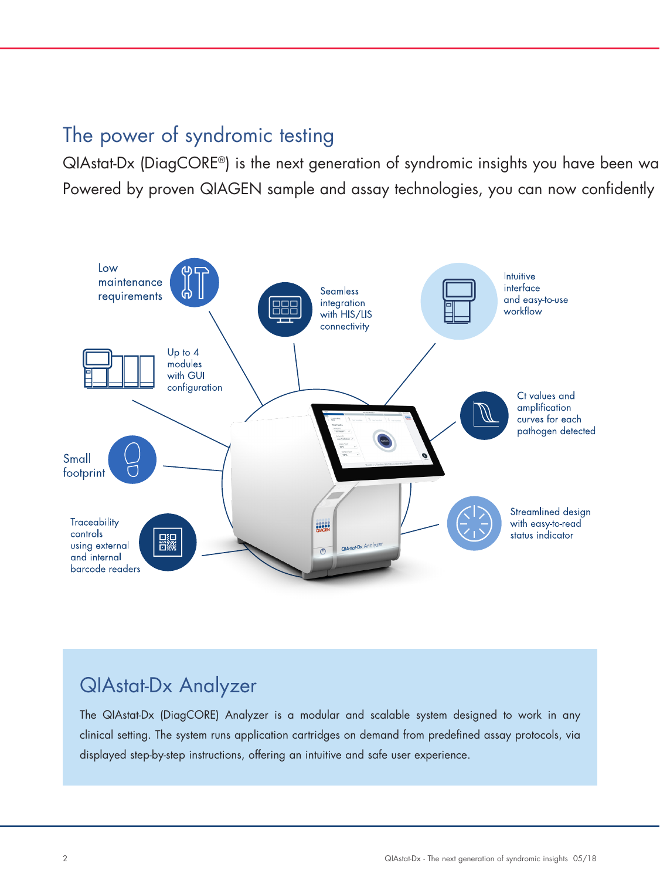## The power of syndromic testing

QIAstat-Dx (DiagCORE®) is the next generation of syndromic insights you have been wa Powered by proven QIAGEN sample and assay technologies, you can now confidently



## QIAstat-Dx Analyzer

The QIAstat-Dx (DiagCORE) Analyzer is a modular and scalable system designed to work in any clinical setting. The system runs application cartridges on demand from predefined assay protocols, via displayed step-by-step instructions, offering an intuitive and safe user experience.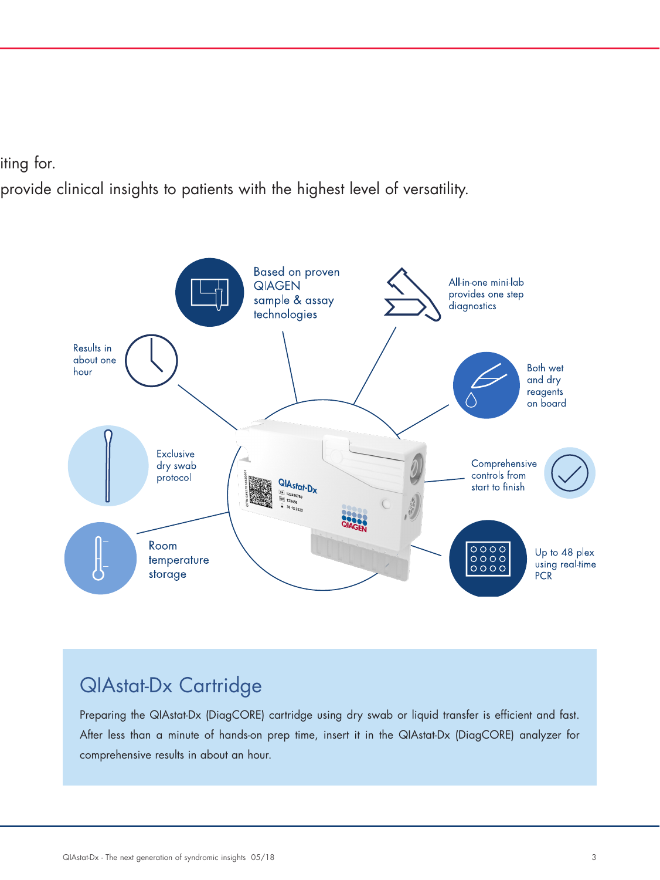#### iting for.

provide clinical insights to patients with the highest level of versatility.



## QIAstat-Dx Cartridge

Preparing the QIAstat-Dx (DiagCORE) cartridge using dry swab or liquid transfer is efficient and fast. After less than a minute of hands-on prep time, insert it in the QIAstat-Dx (DiagCORE) analyzer for comprehensive results in about an hour.